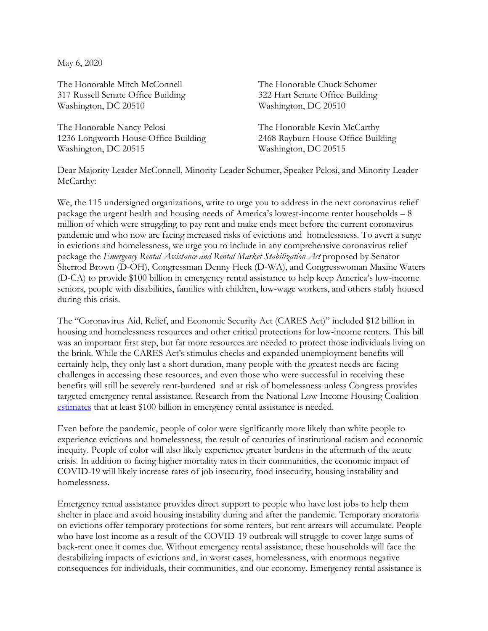May 6, 2020

The Honorable Mitch McConnell 317 Russell Senate Office Building Washington, DC 20510

The Honorable Nancy Pelosi 1236 Longworth House Office Building Washington, DC 20515

The Honorable Chuck Schumer 322 Hart Senate Office Building Washington, DC 20510

The Honorable Kevin McCarthy 2468 Rayburn House Office Building Washington, DC 20515

Dear Majority Leader McConnell, Minority Leader Schumer, Speaker Pelosi, and Minority Leader McCarthy:

We, the 115 undersigned organizations, write to urge you to address in the next coronavirus relief package the urgent health and housing needs of America's lowest-income renter households – 8 million of which were struggling to pay rent and make ends meet before the current coronavirus pandemic and who now are facing increased risks of evictions and homelessness. To avert a surge in evictions and homelessness, we urge you to include in any comprehensive coronavirus relief package the *Emergency Rental Assistance and Rental Market Stabilization Act* proposed by Senator Sherrod Brown (D-OH), Congressman Denny Heck (D-WA), and Congresswoman Maxine Waters (D-CA) to provide \$100 billion in emergency rental assistance to help keep America's low-income seniors, people with disabilities, families with children, low-wage workers, and others stably housed during this crisis.

The "Coronavirus Aid, Relief, and Economic Security Act (CARES Act)" included \$12 billion in housing and homelessness resources and other critical protections for low-income renters. This bill was an important first step, but far more resources are needed to protect those individuals living on the brink. While the CARES Act's stimulus checks and expanded unemployment benefits will certainly help, they only last a short duration, many people with the greatest needs are facing challenges in accessing these resources, and even those who were successful in receiving these benefits will still be severely rent-burdened and at risk of homelessness unless Congress provides targeted emergency rental assistance. Research from the National Low Income Housing Coalition [estimates](https://nlihc.org/sites/default/files/Need-for-Rental-Assistance-During-the-COVID-19-and-Economic-Crisis.pdf) that at least \$100 billion in emergency rental assistance is needed.

Even before the pandemic, people of color were significantly more likely than white people to experience evictions and homelessness, the result of centuries of institutional racism and economic inequity. People of color will also likely experience greater burdens in the aftermath of the acute crisis. In addition to facing higher mortality rates in their communities, the economic impact of COVID-19 will likely increase rates of job insecurity, food insecurity, housing instability and homelessness.

Emergency rental assistance provides direct support to people who have lost jobs to help them shelter in place and avoid housing instability during and after the pandemic. Temporary moratoria on evictions offer temporary protections for some renters, but rent arrears will accumulate. People who have lost income as a result of the COVID-19 outbreak will struggle to cover large sums of back-rent once it comes due. Without emergency rental assistance, these households will face the destabilizing impacts of evictions and, in worst cases, homelessness, with enormous negative consequences for individuals, their communities, and our economy. Emergency rental assistance is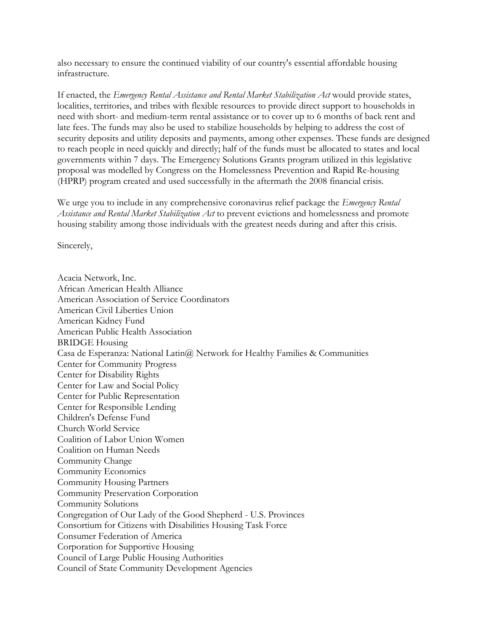also necessary to ensure the continued viability of our country's essential affordable housing infrastructure.

If enacted, the *Emergency Rental Assistance and Rental Market Stabilization Act* would provide states, localities, territories, and tribes with flexible resources to provide direct support to households in need with short- and medium-term rental assistance or to cover up to 6 months of back rent and late fees. The funds may also be used to stabilize households by helping to address the cost of security deposits and utility deposits and payments, among other expenses. These funds are designed to reach people in need quickly and directly; half of the funds must be allocated to states and local governments within 7 days. The Emergency Solutions Grants program utilized in this legislative proposal was modelled by Congress on the Homelessness Prevention and Rapid Re-housing (HPRP) program created and used successfully in the aftermath the 2008 financial crisis.

We urge you to include in any comprehensive coronavirus relief package the *Emergency Rental Assistance and Rental Market Stabilization Act* to prevent evictions and homelessness and promote housing stability among those individuals with the greatest needs during and after this crisis.

Sincerely,

Acacia Network, Inc. African American Health Alliance American Association of Service Coordinators American Civil Liberties Union American Kidney Fund American Public Health Association BRIDGE Housing Casa de Esperanza: National Latin@ Network for Healthy Families & Communities Center for Community Progress Center for Disability Rights Center for Law and Social Policy Center for Public Representation Center for Responsible Lending Children's Defense Fund Church World Service Coalition of Labor Union Women Coalition on Human Needs Community Change Community Economics Community Housing Partners Community Preservation Corporation Community Solutions Congregation of Our Lady of the Good Shepherd - U.S. Provinces Consortium for Citizens with Disabilities Housing Task Force Consumer Federation of America Corporation for Supportive Housing Council of Large Public Housing Authorities Council of State Community Development Agencies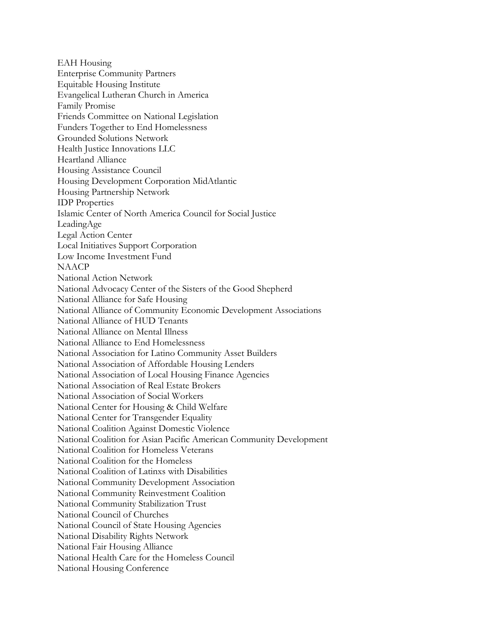EAH Housing Enterprise Community Partners Equitable Housing Institute Evangelical Lutheran Church in America Family Promise Friends Committee on National Legislation Funders Together to End Homelessness Grounded Solutions Network Health Justice Innovations LLC Heartland Alliance Housing Assistance Council Housing Development Corporation MidAtlantic Housing Partnership Network IDP Properties Islamic Center of North America Council for Social Justice LeadingAge Legal Action Center Local Initiatives Support Corporation Low Income Investment Fund **NAACP** National Action Network National Advocacy Center of the Sisters of the Good Shepherd National Alliance for Safe Housing National Alliance of Community Economic Development Associations National Alliance of HUD Tenants National Alliance on Mental Illness National Alliance to End Homelessness National Association for Latino Community Asset Builders National Association of Affordable Housing Lenders National Association of Local Housing Finance Agencies National Association of Real Estate Brokers National Association of Social Workers National Center for Housing & Child Welfare National Center for Transgender Equality National Coalition Against Domestic Violence National Coalition for Asian Pacific American Community Development National Coalition for Homeless Veterans National Coalition for the Homeless National Coalition of Latinxs with Disabilities National Community Development Association National Community Reinvestment Coalition National Community Stabilization Trust National Council of Churches National Council of State Housing Agencies National Disability Rights Network National Fair Housing Alliance National Health Care for the Homeless Council National Housing Conference